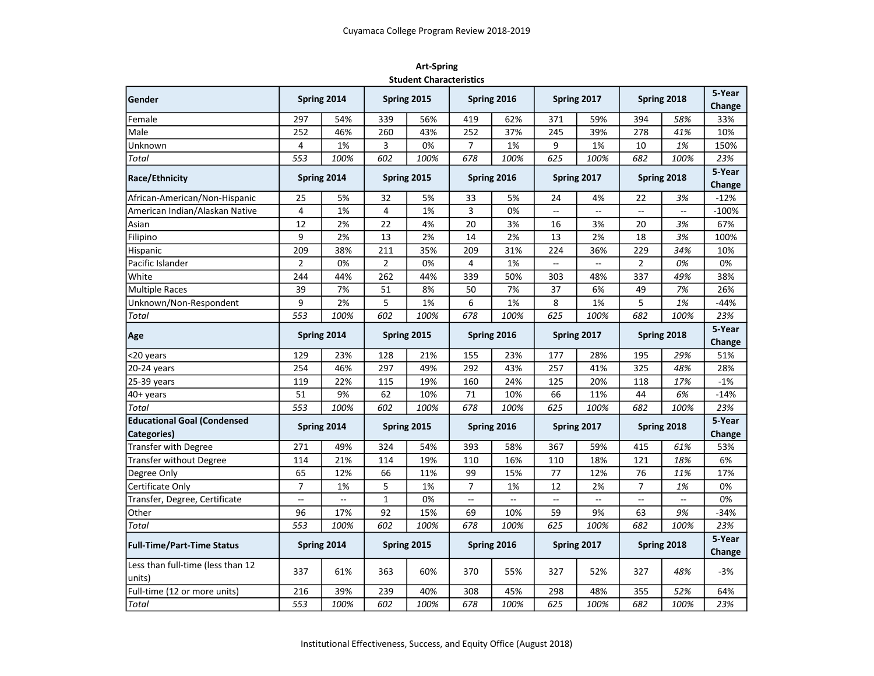| <b>Art-Spring</b>              |
|--------------------------------|
| <b>Student Characteristics</b> |

| Gender                                      |                | Spring 2014 |                | Spring 2015 |                | Spring 2016 |             | Spring 2017              |                | Spring 2018 | 5-Year<br>Change |
|---------------------------------------------|----------------|-------------|----------------|-------------|----------------|-------------|-------------|--------------------------|----------------|-------------|------------------|
| Female                                      | 297<br>54%     |             | 339            | 56%         | 419            | 62%         | 371         | 59%                      | 394            | 58%         | 33%              |
| Male                                        | 252            | 46%         | 260            | 43%         | 252            | 37%         | 245         | 39%                      | 278            | 41%         | 10%              |
| Unknown                                     | 4              | 1%          | 3              | 0%          | $\overline{7}$ | 1%          | 9           | 1%                       | 10             | 1%          | 150%             |
| <b>Total</b>                                | 553            | 100%        | 602            | 100%        | 678            | 100%        | 625         | 100%                     | 682            | 100%        | 23%              |
|                                             |                |             |                |             |                |             |             |                          |                |             | 5-Year           |
| <b>Race/Ethnicity</b>                       |                | Spring 2014 | Spring 2015    |             |                | Spring 2016 |             | Spring 2017              | Spring 2018    |             | Change           |
| African-American/Non-Hispanic               | 25             | 5%          | 32             | 5%          | 33             | 5%          | 24          | 4%                       | 22             | 3%          | $-12%$           |
| American Indian/Alaskan Native              | 4              | 1%          | 4              | 1%          | 3              | 0%          |             | $\overline{\phantom{a}}$ |                |             | $-100%$          |
| Asian                                       | 12             | 2%          | 22             | 4%          | 20             | 3%          | 16          | 3%                       | 20             | 3%          | 67%              |
| Filipino                                    | 9              | 2%          | 13             | 2%          | 14             | 2%          | 13          | 2%                       | 18             | 3%          | 100%             |
| Hispanic                                    | 209            | 38%         | 211            | 35%         | 209            | 31%         | 224         | 36%                      | 229            | 34%         | 10%              |
| Pacific Islander                            | $\overline{2}$ | 0%          | $\overline{2}$ | 0%          | 4              | 1%          |             |                          | $\overline{2}$ | 0%          | 0%               |
| White                                       | 244            | 44%         | 262            | 44%         | 339            | 50%         | 303         | 48%                      | 337            | 49%         | 38%              |
| <b>Multiple Races</b>                       | 39             | 7%          | 51             | 8%          | 50             | 7%          | 37          | 6%                       | 49             | 7%          | 26%              |
| Unknown/Non-Respondent                      | 9              | 2%          | 5              | 1%          | 6              | 1%          | 8           | 1%                       | 5              | 1%          | $-44%$           |
| <b>Total</b>                                | 553            | 100%        | 602            | 100%        | 678            | 100%        | 625         | 100%                     | 682            | 100%        | 23%              |
| Age                                         | Spring 2014    |             | Spring 2015    |             | Spring 2016    |             | Spring 2017 |                          | Spring 2018    |             | 5-Year<br>Change |
| <20 years                                   | 129            | 23%         | 128            | 21%         | 155            | 23%         | 177         | 28%                      | 195            | 29%         | 51%              |
| 20-24 years                                 | 254            | 46%         | 297            | 49%         | 292            | 43%         | 257         | 41%                      | 325            | 48%         | 28%              |
| 25-39 years                                 | 119            | 22%         | 115            | 19%         | 160            | 24%         | 125         | 20%                      | 118            | 17%         | $-1%$            |
| 40+ years                                   | 51             | 9%          | 62             | 10%         | 71             | 10%         | 66          | 11%                      | 44             | 6%          | $-14%$           |
| <b>Total</b>                                | 553            | 100%        | 602            | 100%        | 678            | 100%        | 625         | 100%                     | 682            | 100%        | 23%              |
| <b>Educational Goal (Condensed</b>          |                |             |                |             |                |             |             |                          |                |             | 5-Year           |
| Categories)                                 |                | Spring 2014 | Spring 2015    |             | Spring 2016    |             | Spring 2017 |                          | Spring 2018    |             | Change           |
| Transfer with Degree                        | 271            | 49%         | 324            | 54%         | 393            | 58%         | 367         | 59%                      | 415            | 61%         | 53%              |
| <b>Transfer without Degree</b>              | 114            | 21%         | 114            | 19%         | 110            | 16%         | 110         | 18%                      | 121            | 18%         | 6%               |
| Degree Only                                 | 65             | 12%         | 66             | 11%         | 99             | 15%         | 77          | 12%                      | 76             | 11%         | 17%              |
| Certificate Only                            | $\overline{7}$ | 1%          | 5              | 1%          | $\overline{7}$ | 1%          | 12          | 2%                       | $\overline{7}$ | 1%          | 0%               |
| Transfer, Degree, Certificate               | --             |             | $\mathbf{1}$   | 0%          | $\ddotsc$      |             |             |                          | Ξ.             |             | 0%               |
| Other                                       | 96             | 17%         | 92             | 15%         | 69             | 10%         | 59          | 9%                       | 63             | 9%          | $-34%$           |
| <b>Total</b>                                | 553            | 100%        | 602            | 100%        | 678            | 100%        | 625         | 100%                     | 682            | 100%        | 23%              |
| <b>Full-Time/Part-Time Status</b>           |                | Spring 2014 | Spring 2015    |             | Spring 2016    |             | Spring 2017 |                          | Spring 2018    |             | 5-Year<br>Change |
| Less than full-time (less than 12<br>units) | 337            | 61%         | 363            | 60%         | 370            | 55%         | 327         | 52%                      | 327            | 48%         | $-3%$            |
| Full-time (12 or more units)                | 216            | 39%         | 239            | 40%         | 308            | 45%         | 298         | 48%                      | 355            | 52%         | 64%              |
| Total                                       | 553            | 100%        | 602            | 100%        | 678            | 100%        | 625         | 100%                     | 682            | 100%        | 23%              |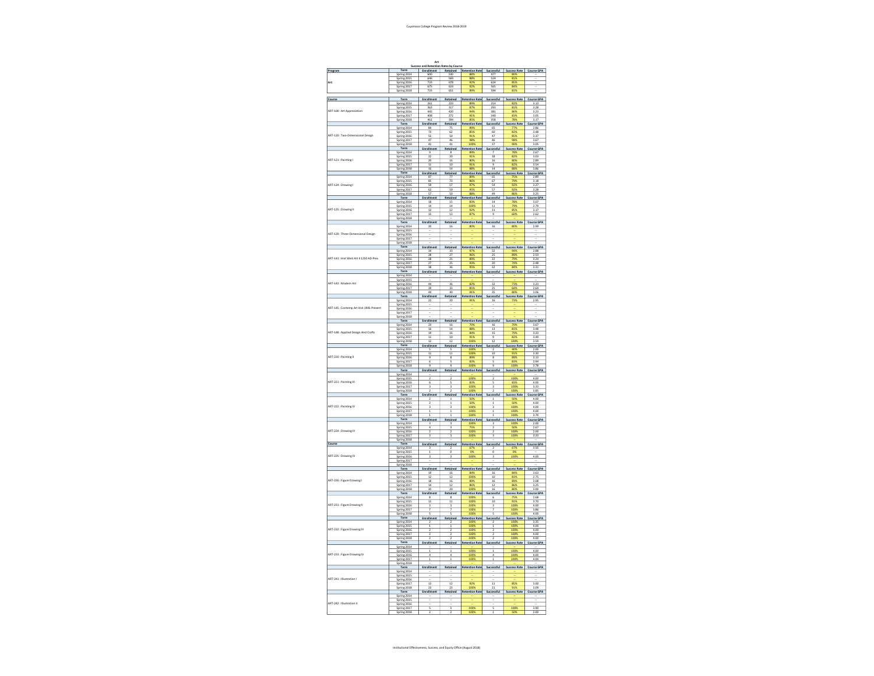## Cuyamaca College Program Review 2018-2019

|                                         | Succe                                                            | Art                                                                                                  | s by Co                                                                     |                                        |                                                      |                                    |                                               |
|-----------------------------------------|------------------------------------------------------------------|------------------------------------------------------------------------------------------------------|-----------------------------------------------------------------------------|----------------------------------------|------------------------------------------------------|------------------------------------|-----------------------------------------------|
| Program                                 | Term                                                             | Enrollm<br>600                                                                                       | Retained<br>530<br>569                                                      | <b>Retention Rate</b>                  | Successful<br>477                                    | Success Rate Course GPA            |                                               |
| Art                                     | Spring 2014                                                      | 646                                                                                                  |                                                                             | 88%<br>$\frac{92\%}{02\%}$             | 524                                                  | 81%<br>85%                         |                                               |
|                                         | Spring 2016<br>Spring 2017<br>Spring 2018                        | 733<br>675<br>733                                                                                    | 678<br>651                                                                  |                                        | 624<br>565<br>594                                    | 81                                 |                                               |
| Course                                  | Term                                                             |                                                                                                      |                                                                             | Retention Rate                         |                                                      |                                    |                                               |
|                                         | Spring 2014<br>Spring 2015                                       | $\begin{array}{c c}\n\textbf{Enrollment} & \\ \hline\n261 & \\ \hline\n363 & \\ \hline\n\end{array}$ | $\begin{array}{r}\n  \text{stained} \\  233 \\  \hline\n 317\n \end{array}$ |                                        |                                                      |                                    |                                               |
| ART-100 : Art Appreciation              | Spring 2016                                                      | 449                                                                                                  | 420                                                                         |                                        | 381                                                  |                                    | 3.23                                          |
|                                         | Spring 2017<br>Spring 2018                                       | 408<br>$\frac{461}{1}$                                                                               | 372<br>---<br>394<br>tain                                                   | 91%<br>$rac{31}{85\%}$<br>ntion l      | 340<br>$\frac{1}{358}$                               | 83%<br>$\overline{28}$             | 3.05<br>$\frac{3.17}{3.17}$                   |
|                                         | $rac{Spm_{1/2}}{Term}$<br>Spring 2014                            | aller<br>84                                                                                          | 75                                                                          | 89%                                    | xess<br>65                                           | ccess R                            | 2.86                                          |
| ART-120: Two-Dimensional Design         | Spring 2015                                                      | 73                                                                                                   | 62                                                                          | 85%                                    | 60                                                   | 82%                                | 3.48                                          |
|                                         | Spring 2016<br>Spring 2017<br>Spring 2018                        | $rac{55}{47}$<br>41                                                                                  | $rac{50}{46}$<br>41                                                         | $\frac{91%}{00%}$                      | $\frac{47}{46}$<br>37                                | 859<br>989                         | $\frac{3.37}{3.67}$<br>$\frac{1}{3.05}$       |
|                                         | Term<br>Spring 2014                                              | Enrollm<br>nt                                                                                        | Retained                                                                    | <b>Retention Rate</b>                  | $rac{c\cos ful}{7}$                                  | Success Rate<br>78%                | Course GPA                                    |
|                                         |                                                                  | $\frac{1}{22}$                                                                                       | $rac{1}{16}$                                                                |                                        | 18                                                   | 82%                                |                                               |
| ART-121 : Painting I                    | Spring 2015<br>Spring 2016<br>Spring 2017                        | 11                                                                                                   | 10                                                                          | 91%<br>90%<br>91%                      | 9                                                    | $\frac{80\%}{82\%}$                | $\frac{3.03}{2.89}$<br>$\frac{3.54}{2.54}$    |
|                                         | ng 2018<br>Spr                                                   | 16<br>Enrolle                                                                                        | $\overline{14}$                                                             | 88%<br><b>Retention Rat</b>            | $\overline{14}$                                      | 88%<br>Success Rate                | 3.86                                          |
|                                         | Term<br>Spring 2014                                              | 87                                                                                                   | $rac{1}{\frac{73}{13}}$                                                     |                                        | $\frac{26}{65}$                                      |                                    | Course GPA                                    |
| ART-124 : Drawing I                     | Spring 2015<br>Spring 2016<br>Spring 2017                        | 85<br>$rac{59}{62}$                                                                                  | 57<br>59                                                                    | 86%<br>97%                             | 67<br>$rac{54}{57}$                                  | 79%<br>92%                         | 3.18<br>$\frac{3.27}{3.28}$                   |
|                                         |                                                                  | 57                                                                                                   | 50                                                                          | 88%                                    | 49                                                   | 86%                                | 3.25                                          |
|                                         | Spring 2018<br>Term<br>Spring 2014<br>Spring 2015                | Enn<br>pillment<br>18<br>14                                                                          | tain                                                                        | <b>Retention Rat</b>                   | cessful                                              | <b>Success Rate</b>                | Course GPA<br>3.07<br>2.79                    |
| ART-125 : Drawing II                    |                                                                  | $\overline{13}$                                                                                      | $\frac{15}{14}$<br>$\overline{12}$                                          | 1009<br>92%                            | $\frac{14}{11}$<br>$\overline{11}$                   | 799<br>85%                         | 3.17                                          |
|                                         | Spring 2016<br>Spring 2017<br>Spring 2018<br>Term                | 15                                                                                                   | 13                                                                          | 87%                                    | 9                                                    | 60%                                | 2.62                                          |
|                                         |                                                                  | Enrollmo                                                                                             | Retaine                                                                     | <b>Retention Rate</b>                  | ccessfu                                              | <b>Success Rate</b>                | Course GPA                                    |
|                                         | Spring 2014<br>Spring 2015<br>Spring 2016                        | 20                                                                                                   | 16                                                                          | 80%                                    | 16                                                   |                                    | 2.99                                          |
| ART-129 : Three-Dimensional Design      |                                                                  |                                                                                                      |                                                                             |                                        |                                                      |                                    |                                               |
|                                         | Spring 2017<br>Spring 2018<br>Term                               | Enrollmo                                                                                             | etained                                                                     |                                        |                                                      | Success Rate                       |                                               |
|                                         |                                                                  |                                                                                                      |                                                                             | Retention Rate                         | $\frac{1}{32}$<br>$\frac{32}{25}$<br>$\frac{25}{22}$ |                                    | Course GPA<br>2.88<br>2.53<br>3.24            |
| ART-141 : Hist West Art II 1250 AD-Pres | Spring 2014<br>Spring 2015<br>Spring 2016                        | 34<br>28<br>28                                                                                       | 33<br>27<br>25                                                              |                                        |                                                      |                                    |                                               |
|                                         | Spring 2017                                                      | $\overline{z}$<br>38                                                                                 | 36                                                                          | 95%                                    | 32                                                   | 84%                                | 2.48<br>3.31                                  |
|                                         | Spring 2018<br>Term<br>Spring 2014<br>Spring 2015                | Enrollment                                                                                           | Retained                                                                    | <b>Retention Rate</b>                  | cessful                                              | Success Rate                       | Course GPA                                    |
| ART-143 : Modern Art                    | Spring 2016                                                      | 44                                                                                                   | 36                                                                          | 82%                                    | 32                                                   | 73%                                | 3.23                                          |
|                                         |                                                                  | $\frac{39}{44}$                                                                                      | $\frac{33}{40}$                                                             | 85%<br>91%                             | $\frac{25}{35}$                                      | 64%<br>80%                         | $\frac{2.64}{3.06}$                           |
|                                         | Spring 2017<br>Spring 2017<br>Term<br>Spring 2014                | Enrollment<br>22                                                                                     | Retained<br>20                                                              | <b>Retention Rate</b>                  | <mark>uccessfu</mark><br>16                          | Success Rate<br>73%                | Course GPA                                    |
|                                         | Spring 2015                                                      |                                                                                                      |                                                                             | 91%                                    |                                                      |                                    |                                               |
| ART-145 : Contemp Art Hist 1945-Present | Spring 2016<br>Spring 2017<br>Spring 2018                        |                                                                                                      |                                                                             |                                        |                                                      |                                    |                                               |
|                                         | Term                                                             | Enroller                                                                                             | tain                                                                        | <b>Retention Rate</b>                  | cessful                                              | <b>Success Rate</b>                | Course GPA                                    |
|                                         | Spring 2014                                                      | $\frac{23}{16}$                                                                                      | $\frac{16}{14}$                                                             | 70%<br>88%<br>84%<br>91%               | $\frac{16}{13}$                                      |                                    |                                               |
| ART-148 : Applied Design And Crafts     | Spring 2016                                                      | <u>19</u>                                                                                            | 16                                                                          |                                        | $\frac{15}{2}$                                       | $rac{100}{81\%}$<br>79%<br>82%     | $\frac{3.67}{3.48}$<br>$\frac{3.33}{3.33}$    |
|                                         | Spring 2017<br>Spring 2018<br>Term                               | 11<br>12                                                                                             | 10<br>$\overline{12}$                                                       | 100%                                   | 9<br>$\overline{12}$                                 | 100%                               | 3.49<br>3.59                                  |
|                                         |                                                                  | En                                                                                                   |                                                                             | ntion Rat                              |                                                      | cess Ra                            | rse GPA<br>2.00<br>3.30<br>3.13               |
| ART-220 : Painting II                   | Spring 2014<br>Spring 2014<br>Spring 2015<br>Spring 2016         | 11                                                                                                   | 11<br>8                                                                     | 1009                                   | 10<br>8                                              | $rac{1}{91\%}$                     |                                               |
|                                         |                                                                  | $\overline{6}$                                                                                       | 5                                                                           | 83%<br>100%                            | Ś<br>5                                               | 83%<br>100%                        | 3.94<br>3.78                                  |
|                                         | Spring 2017<br>Spring 2018<br>Term<br>Spring 2014                | 9<br>Enrollment                                                                                      | Retained                                                                    | <b>Retention Rate</b>                  | Successful                                           | <b>Success Rate</b>                | Course GPA                                    |
|                                         | Spring 2015                                                      | 2                                                                                                    | 2                                                                           | 100%                                   | 2                                                    | 100%                               | 4.00                                          |
| ART-221 : Painting III                  | Spring 2016                                                      | 3                                                                                                    |                                                                             | 83%                                    | 3                                                    | 83%<br>100%                        | 4.00<br>3.33                                  |
|                                         | Spring 2018                                                      | $\overline{z}$<br>Enrolln                                                                            | $\overline{2}$<br>Retained                                                  | 100%<br><b>Retention Rate</b>          | $\overline{z}$<br>ccessful                           | 100%<br><b>Success Rate</b>        | 3.85                                          |
|                                         | Spring 2014                                                      |                                                                                                      |                                                                             |                                        |                                                      |                                    | Course GPA<br>4.00                            |
| ART-222 : Painting IV                   | Spring 2015<br>Spring 2016<br>Spring 2017                        |                                                                                                      |                                                                             | 50%                                    |                                                      | 50%                                | $\frac{4.00}{4.00}$                           |
|                                         | ng 2018<br>Sa                                                    |                                                                                                      |                                                                             | 100                                    |                                                      | 100                                | 3.70                                          |
|                                         | Term                                                             | Enr<br>a,<br>3                                                                                       | Retair                                                                      | Retention Rat                          | essful                                               | ccess Rate                         | irse GPA<br>2.00<br>2.67<br>2.00<br><b>Cc</b> |
| ART-224 : Drawing III                   | Spring 2014<br>Spring 2016                                       |                                                                                                      |                                                                             | 75%                                    |                                                      | 50%                                |                                               |
|                                         | Spring 2017                                                      |                                                                                                      |                                                                             | 100%                                   | 3                                                    | 100%                               | 3.33                                          |
| Course                                  | Spring 2018<br>Term<br>Spring 2014<br>Spring 2015                | Enrollment                                                                                           | Retained                                                                    | <b>Retention Rate</b>                  | Successful                                           | Success Rate                       | Course GPA<br>3.50                            |
|                                         |                                                                  |                                                                                                      |                                                                             |                                        | o                                                    |                                    |                                               |
| ART-225 : Drawing IV                    | Spring 2016<br>Spring 2017<br>Spring 2018                        |                                                                                                      |                                                                             | 1009                                   |                                                      | 1009                               | 4.00                                          |
|                                         | $rac{\overline{\text{Sppm}}_{\text{b}}}{\text{Term}}$            |                                                                                                      | Retained                                                                    |                                        | cessful                                              | <b>Success Rate</b>                | Course GPA                                    |
|                                         | Spring 2014                                                      | Enrollment<br>19                                                                                     | 16                                                                          | Retention Rate<br>84%<br>100%          | 16<br>10                                             | 83%                                | 3.63<br>2.75                                  |
| ART-230 : Figure Drawing I              | Spring 2015<br>Spring 2016<br>Spring 2017                        | $\begin{array}{r} 12 \\ 18 \\ 14 \end{array}$                                                        | $\frac{12}{16}$                                                             |                                        | $\frac{16}{12}$                                      | 893                                | 3.08                                          |
|                                         | Spring 2018                                                      | 20                                                                                                   | $\overline{12}$<br>20                                                       | 100%                                   | 16                                                   | 80%                                | 3.25<br>3.00                                  |
|                                         | Term                                                             | Enro<br>nt<br>$\overline{\mathbf{8}}$                                                                | 8                                                                           |                                        | cessful                                              |                                    | ourse GPA<br>2.68                             |
| ART-231 : Figure Drawing II             | Term<br>Spring 2014<br>Spring 2015<br>Spring 2016<br>Spring 2017 | $\overline{11}$                                                                                      | 11                                                                          | Retention Rate<br>100%<br>100%<br>100% | $\overline{10}$                                      | Success Rate<br>75%<br>91%<br>100% | $\frac{3.70}{4.00}$                           |
|                                         | Spring 2018                                                      | Ś                                                                                                    |                                                                             | 100<br>100%                            | Ś                                                    | 100<br>100%                        | 3.86<br>4.00                                  |
|                                         | Term<br>Spring 2014<br>Spring 2015                               | Enrollment                                                                                           | Retained                                                                    | <b>Retention Rate</b>                  | Successful                                           | Success Rate                       | Course GPA<br>3.35<br>4.00                    |
| ART-232 : Figure Drawing III            | Spring 2016                                                      |                                                                                                      |                                                                             | $\frac{100}{100}$<br>1009              |                                                      | $\frac{100}{100}$<br>100%          | 4.00                                          |
|                                         |                                                                  |                                                                                                      |                                                                             | 100%                                   |                                                      | 100%                               | 4.00                                          |
|                                         | Spring 2017<br>Spring 2018                                       | $\overline{z}$                                                                                       | itain                                                                       | Retention Rati                         | ccessful                                             | <b>Success Rate</b>                | 4.00<br>4.00<br>Course GPA                    |
|                                         | Spring 2014<br>Spring 2015                                       | Ï                                                                                                    | i                                                                           | $\overline{100}$                       | Ï                                                    | 100                                | 4.00                                          |
| ART-233 : Figure Drawing IV             | Spring 2016<br>Spring 2017<br>Spring 2018                        | 4<br>Ŧ                                                                                               | 4<br>1                                                                      | 100%                                   | 4<br>7                                               | 100<br>$\frac{1}{100}$             | 4.00<br>4.00                                  |
|                                         | Term                                                             |                                                                                                      |                                                                             |                                        |                                                      |                                    |                                               |
|                                         |                                                                  | Enrollment                                                                                           | Retained                                                                    | <b>Retention Rate</b>                  | Successful                                           | Success Rate                       | Course GPA                                    |
| ART-241: Illustration I                 | Spring 2014<br>Spring 2015<br>Spring 2016                        |                                                                                                      |                                                                             |                                        |                                                      |                                    |                                               |
|                                         | Spring 2017<br>Spring 2018                                       | $\overline{13}$<br>23                                                                                | $\overline{12}$<br>23                                                       | 92%<br>100%                            | $\overline{11}$<br>$\overline{21}$                   | 85%<br>91%                         | 3.00<br>3.09                                  |
|                                         | Term<br>Spring 2014<br>Spring 2015<br>Spring 2016                | Enrolle                                                                                              | Retain                                                                      | Rete<br>ntion Rat                      | ccessfi                                              | <b>Success Rate</b>                | Course GPA                                    |
|                                         |                                                                  |                                                                                                      |                                                                             |                                        |                                                      |                                    |                                               |
|                                         |                                                                  |                                                                                                      |                                                                             |                                        |                                                      |                                    |                                               |
| ART-242 : Illustration III              | Spring 2017<br>Spring 2018                                       | ē<br>2                                                                                               | Ξ                                                                           | 100                                    | 3<br>ī                                               | 100%                               | 3.90<br>$\frac{1}{2.00}$                      |

## Institutional Effectiveness, Success, and Equity Office (August 2018)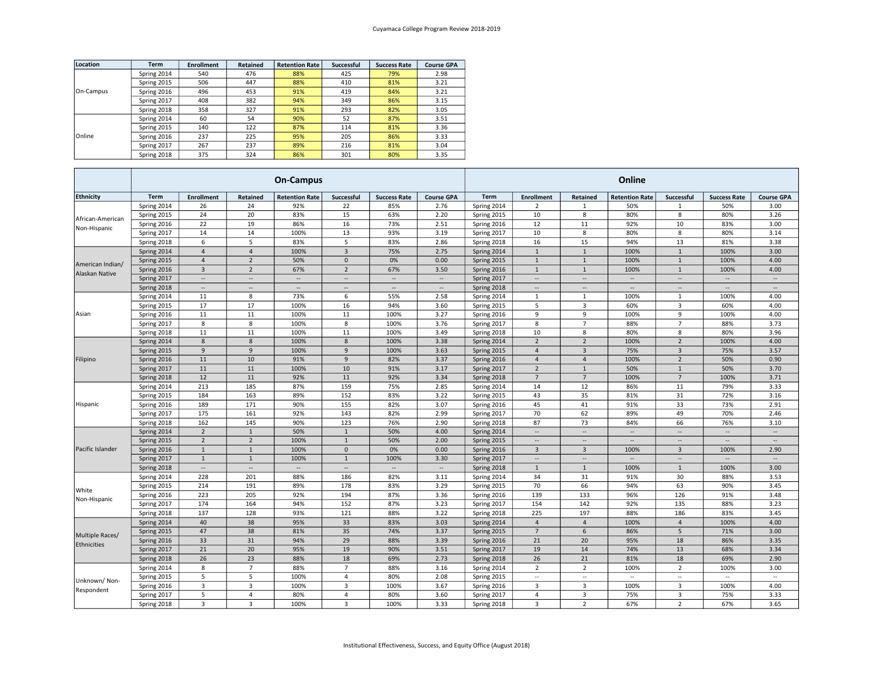| Location  | <b>Term</b> | <b>Enrollment</b> | Retained | <b>Retention Rate</b> | <b>Successful</b> | <b>Success Rate</b> | <b>Course GPA</b> |
|-----------|-------------|-------------------|----------|-----------------------|-------------------|---------------------|-------------------|
| On-Campus | Spring 2014 | 540               | 476      | 88%                   | 425               | 79%                 | 2.98              |
|           | Spring 2015 | 506               | 447      | 88%                   | 410               | 81%                 | 3.21              |
|           | Spring 2016 | 496               | 453      | 91%                   | 419               | 84%                 | 3.21              |
|           | Spring 2017 | 408               | 382      | 94%                   | 349               | 86%                 | 3.15              |
|           | Spring 2018 | 358               | 327      | 91%                   | 293               | 82%                 | 3.05              |
|           | Spring 2014 | 60                | 54       | 90%                   | 52                | 87%                 | 3.51              |
|           | Spring 2015 | 140               | 122      | 87%                   | 114               | 81%                 | 3.36              |
| Online    | Spring 2016 | 237               | 225      | 95%                   | 205               | 86%                 | 3.33              |
|           | Spring 2017 | 267               | 237      | 89%                   | 216               | 81%                 | 3.04              |
|           | Spring 2018 | 375               | 324      | 86%                   | 301               | 80%                 | 3.35              |

|                  | <b>On-Campus</b> |                          |                          |                          |                          |                          |                          | Online      |                          |                          |                          |                          |                          |                          |
|------------------|------------------|--------------------------|--------------------------|--------------------------|--------------------------|--------------------------|--------------------------|-------------|--------------------------|--------------------------|--------------------------|--------------------------|--------------------------|--------------------------|
| <b>Ethnicity</b> | Term             | <b>Enrollment</b>        | Retained                 | <b>Retention Rate</b>    | Successful               | <b>Success Rate</b>      | <b>Course GPA</b>        | Term        | <b>Enrollment</b>        | Retained                 | <b>Retention Rate</b>    | Successful               | <b>Success Rate</b>      | <b>Course GPA</b>        |
|                  | Spring 2014      | 26                       | 24                       | 92%                      | 22                       | 85%                      | 2.76                     | Spring 2014 | 2                        | 1                        | 50%                      | 1                        | 50%                      | 3.00                     |
| African-American | Spring 2015      | 24                       | 20                       | 83%                      | 15                       | 63%                      | 2.20                     | Spring 2015 | 10                       | 8                        | 80%                      | 8                        | 80%                      | 3.26                     |
| Non-Hispanic     | Spring 2016      | 22                       | 19                       | 86%                      | 16                       | 73%                      | 2.51                     | Spring 2016 | 12                       | 11                       | 92%                      | 10                       | 83%                      | 3.00                     |
|                  | Spring 2017      | 14                       | 14                       | 100%                     | 13                       | 93%                      | 3.19                     | Spring 2017 | 10                       | 8                        | 80%                      | 8                        | 80%                      | 3.14                     |
|                  | Spring 2018      | 6                        | 5                        | 83%                      | 5                        | 83%                      | 2.86                     | Spring 2018 | 16                       | 15                       | 94%                      | 13                       | 81%                      | 3.38                     |
|                  | Spring 2014      | $\overline{4}$           | $\overline{a}$           | 100%                     | $\overline{3}$           | 75%                      | 2.75                     | Spring 2014 | $\overline{1}$           | $\mathbf{1}$             | 100%                     | $\mathbf{1}$             | 100%                     | 3.00                     |
| American Indian/ | Spring 2015      | $\overline{4}$           | $\overline{2}$           | 50%                      | $\overline{0}$           | 0%                       | 0.00                     | Spring 2015 | $1\,$                    | $1\,$                    | 100%                     | $\mathbf{1}$             | 100%                     | 4.00                     |
| Alaskan Native   | Spring 2016      | $\overline{3}$           | $\overline{2}$           | 67%                      | $\overline{2}$           | 67%                      | 3.50                     | Spring 2016 | $\overline{1}$           | $\mathbf{1}$             | 100%                     | $\mathbf{1}$             | 100%                     | 4.00                     |
|                  | Spring 2017      | $\overline{\phantom{a}}$ | $\overline{\phantom{a}}$ | $\overline{\phantom{a}}$ | $\ddotsc$                | $\overline{\phantom{a}}$ | $\overline{\phantom{a}}$ | Spring 2017 | ÷.                       | Ξ.                       | $\overline{\phantom{a}}$ | $\overline{\phantom{a}}$ | $\overline{\phantom{a}}$ | $\overline{\phantom{a}}$ |
|                  | Spring 2018      | $\cdots$                 | --                       | $\overline{\phantom{a}}$ | $\overline{\phantom{a}}$ | $\overline{\phantom{a}}$ | $\overline{\phantom{a}}$ | Spring 2018 | $\overline{\phantom{a}}$ | $\overline{\phantom{a}}$ | ÷.                       | $\overline{\phantom{a}}$ | $\overline{\phantom{a}}$ | $\overline{\phantom{a}}$ |
|                  | Spring 2014      | 11                       | 8                        | 73%                      | 6                        | 55%                      | 2.58                     | Spring 2014 | $\overline{1}$           | $\mathbf{1}$             | 100%                     | $\mathbf{1}$             | 100%                     | 4.00                     |
|                  | Spring 2015      | 17                       | 17                       | 100%                     | 16                       | 94%                      | 3.60                     | Spring 2015 | 5                        | 3                        | 60%                      | $\overline{3}$           | 60%                      | 4.00                     |
| Asian            | Spring 2016      | 11                       | 11                       | 100%                     | 11                       | 100%                     | 3.27                     | Spring 2016 | 9                        | 9                        | 100%                     | 9                        | 100%                     | 4.00                     |
|                  | Spring 2017      | 8                        | 8                        | 100%                     | 8                        | 100%                     | 3.76                     | Spring 2017 | 8                        | $\overline{7}$           | 88%                      | $\overline{7}$           | 88%                      | 3.73                     |
|                  | Spring 2018      | 11                       | 11                       | 100%                     | 11                       | 100%                     | 3.49                     | Spring 2018 | 10                       | 8                        | 80%                      | 8                        | 80%                      | 3.96                     |
|                  | Spring 2014      | 8                        | 8                        | 100%                     | $\mathbf{8}$             | 100%                     | 3.38                     | Spring 2014 | $\overline{2}$           | $\overline{2}$           | 100%                     | $\overline{2}$           | 100%                     | 4.00                     |
|                  | Spring 2015      | 9                        | 9                        | 100%                     | 9                        | 100%                     | 3.63                     | Spring 2015 | $\overline{a}$           | $\overline{\mathbf{3}}$  | 75%                      | $\overline{3}$           | 75%                      | 3.57                     |
| Filipino         | Spring 2016      | 11                       | 10                       | 91%                      | 9                        | 82%                      | 3.37                     | Spring 2016 | $\overline{a}$           | $\overline{4}$           | 100%                     | $\overline{2}$           | 50%                      | 0.90                     |
|                  | Spring 2017      | 11                       | 11                       | 100%                     | 10                       | 91%                      | 3.17                     | Spring 2017 | $\overline{2}$           | $\mathbf{1}$             | 50%                      | $\mathbf{1}$             | 50%                      | 3.70                     |
|                  | Spring 2018      | 12                       | 11                       | 92%                      | 11                       | 92%                      | 3.34                     | Spring 2018 | $\overline{7}$           | $\overline{7}$           | 100%                     | $\overline{7}$           | 100%                     | 3.71                     |
|                  | Spring 2014      | 213                      | 185                      | 87%                      | 159                      | 75%                      | 2.85                     | Spring 2014 | 14                       | 12                       | 86%                      | 11                       | 79%                      | 3.33                     |
|                  | Spring 2015      | 184                      | 163                      | 89%                      | 152                      | 83%                      | 3.22                     | Spring 2015 | 43                       | 35                       | 81%                      | 31                       | 72%                      | 3.16                     |
| Hispanic         | Spring 2016      | 189                      | 171                      | 90%                      | 155                      | 82%                      | 3.07                     | Spring 2016 | 45                       | 41                       | 91%                      | 33                       | 73%                      | 2.91                     |
|                  | Spring 2017      | 175                      | 161                      | 92%                      | 143                      | 82%                      | 2.99                     | Spring 2017 | 70                       | 62                       | 89%                      | 49                       | 70%                      | 2.46                     |
|                  | Spring 2018      | 162                      | 145                      | 90%                      | 123                      | 76%                      | 2.90                     | Spring 2018 | 87                       | 73                       | 84%                      | 66                       | 76%                      | 3.10                     |
|                  | Spring 2014      | $\overline{2}$           | $\mathbf{1}$             | 50%                      | $\mathbf{1}$             | 50%                      | 4.00                     | Spring 2014 | ÷.                       | Ξ.                       | $\overline{\phantom{a}}$ | $\overline{\phantom{a}}$ | $\overline{\phantom{a}}$ | $\overline{\phantom{a}}$ |
|                  | Spring 2015      | $\overline{2}$           | $\overline{2}$           | 100%                     | $\mathbf{1}$             | 50%                      | 2.00                     | Spring 2015 |                          | ٠.                       | --                       | $\qquad \qquad -$        | --                       | $\overline{\phantom{a}}$ |
| Pacific Islander | Spring 2016      | $\mathbf{1}$             | $\mathbf 1$              | 100%                     | $\Omega$                 | 0%                       | 0.00                     | Spring 2016 | $\overline{3}$           | $\overline{3}$           | 100%                     | $\overline{3}$           | 100%                     | 2.90                     |
|                  | Spring 2017      | $\mathbf{1}$             | $1\,$                    | 100%                     | $\mathbf{1}$             | 100%                     | 3.30                     | Spring 2017 | $\overline{\phantom{a}}$ | Ξ.                       | $\overline{\phantom{a}}$ | $\overline{\phantom{a}}$ | $\overline{\phantom{a}}$ | $\overline{\phantom{a}}$ |
|                  | Spring 2018      | $\overline{\phantom{a}}$ | $\overline{\phantom{a}}$ | $\overline{\phantom{a}}$ | $\overline{\phantom{a}}$ | $\overline{\phantom{a}}$ | $\overline{\phantom{a}}$ | Spring 2018 | $\overline{1}$           | $\mathbf{1}$             | 100%                     | $\mathbf{1}$             | 100%                     | 3.00                     |
|                  | Spring 2014      | 228                      | 201                      | 88%                      | 186                      | 82%                      | 3.11                     | Spring 2014 | 34                       | 31                       | 91%                      | 30                       | 88%                      | 3.53                     |
| White            | Spring 2015      | 214                      | 191                      | 89%                      | 178                      | 83%                      | 3.29                     | Spring 2015 | 70                       | 66                       | 94%                      | 63                       | 90%                      | 3.45                     |
| Non-Hispanic     | Spring 2016      | 223                      | 205                      | 92%                      | 194                      | 87%                      | 3.36                     | Spring 2016 | 139                      | 133                      | 96%                      | 126                      | 91%                      | 3.48                     |
|                  | Spring 2017      | 174                      | 164                      | 94%                      | 152                      | 87%                      | 3.23                     | Spring 2017 | 154                      | 142                      | 92%                      | 135                      | 88%                      | 3.23                     |
|                  | Spring 2018      | 137                      | 128                      | 93%                      | 121                      | 88%                      | 3.22                     | Spring 2018 | 225                      | 197                      | 88%                      | 186                      | 83%                      | 3.45                     |
|                  | Spring 2014      | 40                       | 38                       | 95%                      | 33                       | 83%                      | 3.03                     | Spring 2014 | $\overline{4}$           | $\overline{4}$           | 100%                     | $\overline{4}$           | 100%                     | 4.00                     |
| Multiple Races/  | Spring 2015      | 47                       | 38                       | 81%                      | 35                       | 74%                      | 3.37                     | Spring 2015 | $7\overline{ }$          | 6                        | 86%                      | 5                        | 71%                      | 3.00                     |
| Ethnicities      | Spring 2016      | 33                       | 31                       | 94%                      | 29                       | 88%                      | 3.39                     | Spring 2016 | 21                       | 20                       | 95%                      | 18                       | 86%                      | 3.35                     |
|                  | Spring 2017      | 21                       | 20                       | 95%                      | 19                       | 90%                      | 3.51                     | Spring 2017 | 19                       | 14                       | 74%                      | 13                       | 68%                      | 3.34                     |
|                  | Spring 2018      | 26                       | 23                       | 88%                      | 18                       | 69%                      | 2.73                     | Spring 2018 | 26                       | 21                       | 81%                      | 18                       | 69%                      | 2.90                     |
|                  | Spring 2014      | 8                        | $\overline{7}$           | 88%                      | $\overline{7}$           | 88%                      | 3.16                     | Spring 2014 | $\overline{2}$           | $\overline{2}$           | 100%                     | $\overline{2}$           | 100%                     | 3.00                     |
| Unknown/Non-     | Spring 2015      | 5                        | 5                        | 100%                     | $\overline{4}$           | 80%                      | 2.08                     | Spring 2015 | $\sim$                   | ÷.                       | $\sim$                   | $\overline{\phantom{a}}$ | $\overline{\phantom{a}}$ | $\overline{\phantom{a}}$ |
| Respondent       | Spring 2016      | 3                        | 3                        | 100%                     | $\overline{3}$           | 100%                     | 3.67                     | Spring 2016 | 3                        | 3                        | 100%                     | 3                        | 100%                     | 4.00                     |
|                  | Spring 2017      | 5                        | $\overline{4}$           | 80%                      | $\overline{4}$           | 80%                      | 3.60                     | Spring 2017 | $\overline{4}$           | 3                        | 75%                      | 3                        | 75%                      | 3.33                     |
|                  | Spring 2018      | $\overline{3}$           | $\overline{3}$           | 100%                     | $\overline{3}$           | 100%                     | 3.33                     | Spring 2018 | $\overline{3}$           | $\overline{2}$           | 67%                      | $\overline{2}$           | 67%                      | 3.65                     |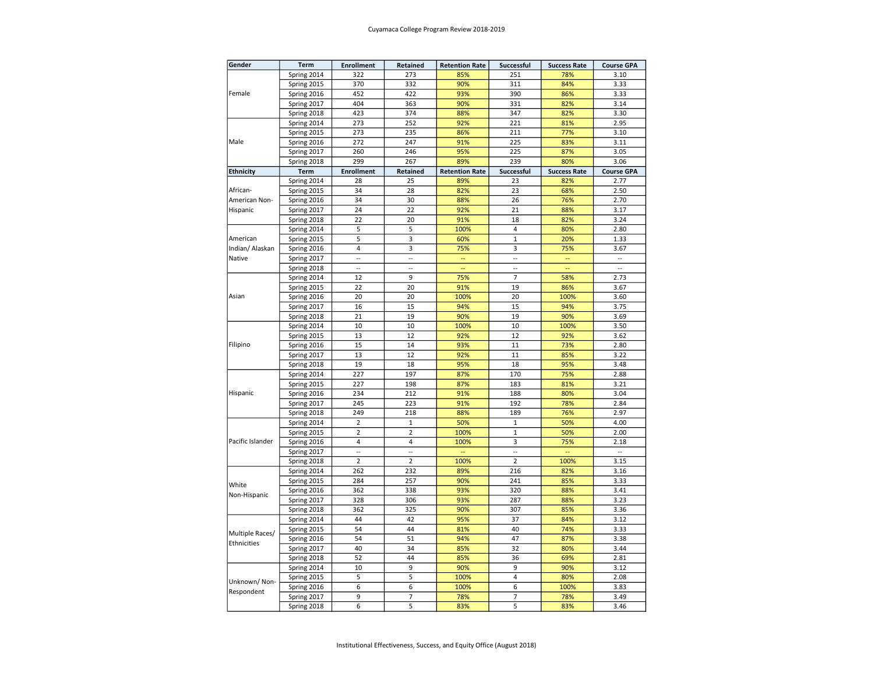## Cuyamaca College Program Review 2018-2019

| Gender           | Term        | <b>Enrollment</b> | Retained       | <b>Retention Rate</b> | <b>Successful</b> | <b>Success Rate</b> | <b>Course GPA</b>        |
|------------------|-------------|-------------------|----------------|-----------------------|-------------------|---------------------|--------------------------|
|                  | Spring 2014 | 322               | 273            | 85%                   | 251               | 78%                 | 3.10                     |
|                  | Spring 2015 | 370               | 332            | 90%                   | 311               | 84%                 | 3.33                     |
| Female           | Spring 2016 | 452               | 422            | 93%                   | 390               | 86%                 | 3.33                     |
|                  | Spring 2017 | 404               | 363            | 90%                   | 331               | 82%                 | 3.14                     |
|                  | Spring 2018 | 423               | 374            | 88%                   | 347               | 82%                 | 3.30                     |
|                  | Spring 2014 | 273               | 252            | 92%                   | 221               | 81%                 | 2.95                     |
|                  | Spring 2015 | 273               | 235            | 86%                   | 211               | 77%                 | 3.10                     |
| Male             | Spring 2016 | 272               | 247            | 91%                   | 225               | 83%                 | 3.11                     |
|                  | Spring 2017 | 260               | 246            | 95%                   | 225               | 87%                 | 3.05                     |
|                  | Spring 2018 | 299               | 267            | 89%                   | 239               | 80%                 | 3.06                     |
| <b>Ethnicity</b> | Term        | <b>Enrollment</b> | Retained       | <b>Retention Rate</b> | Successful        | <b>Success Rate</b> | <b>Course GPA</b>        |
|                  | Spring 2014 | 28                | 25             | 89%                   | 23                | 82%                 | 2.77                     |
| African-         | Spring 2015 | 34                | 28             | 82%                   | 23                | 68%                 | 2.50                     |
| American Non-    | Spring 2016 | 34                | 30             | 88%                   | 26                | 76%                 | 2.70                     |
| Hispanic         | Spring 2017 | 24                | 22             | 92%                   | 21                | 88%                 | 3.17                     |
|                  | Spring 2018 | 22                | 20             | 91%                   | 18                | 82%                 | 3.24                     |
|                  | Spring 2014 | 5                 | 5              | 100%                  | $\overline{4}$    | 80%                 | 2.80                     |
| American         | Spring 2015 | 5                 | 3              | 60%                   | $\mathbf{1}$      | 20%                 | 1.33                     |
| Indian/ Alaskan  | Spring 2016 | 4                 | 3              | 75%                   | 3                 | 75%                 | 3.67                     |
| Native           | Spring 2017 | Ξ.                | Ξ.             | --                    | ÷.                | Щ,                  | $\overline{\phantom{a}}$ |
|                  | Spring 2018 | $\sim$            | $\sim$         | L.                    | $\mathbb{Z}^2$    | L.                  | $\sim$                   |
|                  | Spring 2014 | 12                | 9              | 75%                   | $\overline{7}$    | 58%                 | 2.73                     |
|                  | Spring 2015 | 22                | 20             | 91%                   | 19                | 86%                 | 3.67                     |
| Asian            | Spring 2016 | 20                | 20             | 100%                  | 20                | 100%                | 3.60                     |
|                  | Spring 2017 | 16                | 15             | 94%                   | 15                | 94%                 | 3.75                     |
|                  | Spring 2018 | 21                | 19             | 90%                   | 19                | 90%                 | 3.69                     |
|                  | Spring 2014 | 10                | 10             | 100%                  | 10                | 100%                | 3.50                     |
|                  | Spring 2015 | 13                | 12             | 92%                   | 12                | 92%                 | 3.62                     |
| Filipino         | Spring 2016 | 15                | 14             | 93%                   | 11                | 73%                 | 2.80                     |
|                  | Spring 2017 | 13                | 12             | 92%                   | 11                | 85%                 | 3.22                     |
|                  | Spring 2018 | 19                | 18             | 95%                   | 18                | 95%                 | 3.48                     |
|                  | Spring 2014 | 227               | 197            | 87%                   | 170               | 75%                 | 2.88                     |
|                  | Spring 2015 | 227               | 198            | 87%                   | 183               | 81%                 | 3.21                     |
| Hispanic         | Spring 2016 | 234               | 212            | 91%                   | 188               | 80%                 | 3.04                     |
|                  | Spring 2017 | 245               | 223            | 91%                   | 192               | 78%                 | 2.84                     |
|                  | Spring 2018 | 249               | 218            | 88%                   | 189               | 76%                 | 2.97                     |
|                  | Spring 2014 | $\overline{2}$    | $\mathbf 1$    | 50%                   | $\mathbf 1$       | 50%                 | 4.00                     |
|                  | Spring 2015 | $\overline{2}$    | $\overline{2}$ | 100%                  | $\mathbf 1$       | 50%                 | 2.00                     |
| Pacific Islander | Spring 2016 | 4                 | $\overline{4}$ | 100%                  | 3                 | 75%                 | 2.18                     |
|                  | Spring 2017 | u.                | $\ddotsc$      | u.                    | $\mathbb{Z}^2$    | u.                  | ÷.                       |
|                  | Spring 2018 | $\overline{2}$    | $\overline{2}$ | 100%                  | $\overline{2}$    | 100%                | 3.15                     |
|                  | Spring 2014 | 262               | 232            | 89%                   | 216               | 82%                 | 3.16                     |
|                  | Spring 2015 | 284               | 257            | 90%                   | 241               | 85%                 | 3.33                     |
| White            | Spring 2016 | 362               | 338            | 93%                   | 320               | 88%                 | 3.41                     |
| Non-Hispanic     | Spring 2017 | 328               | 306            | 93%                   | 287               | 88%                 | 3.23                     |
|                  | Spring 2018 | 362               | 325            | 90%                   | 307               | 85%                 | 3.36                     |
|                  | Spring 2014 | 44                | 42             | 95%                   | 37                | 84%                 | 3.12                     |
|                  | Spring 2015 | 54                | 44             | 81%                   | 40                | 74%                 | 3.33                     |
| Multiple Races/  | Spring 2016 | 54                | 51             | 94%                   | 47                | 87%                 | 3.38                     |
| Ethnicities      | Spring 2017 | 40                | 34             | 85%                   | 32                | 80%                 | 3.44                     |
|                  | Spring 2018 | 52                | 44             | 85%                   | 36                | 69%                 | 2.81                     |
|                  | Spring 2014 | 10                | 9              | 90%                   | 9                 | 90%                 | 3.12                     |
|                  | Spring 2015 | 5                 | 5              | 100%                  | 4                 | 80%                 | 2.08                     |
| Unknown/Non-     | Spring 2016 | 6                 | 6              | 100%                  | 6                 | 100%                | 3.83                     |
| Respondent       | Spring 2017 | 9                 | 7              | 78%                   | 7                 | 78%                 | 3.49                     |
|                  | Spring 2018 | 6                 | 5              | 83%                   | 5                 | 83%                 | 3.46                     |
|                  |             |                   |                |                       |                   |                     |                          |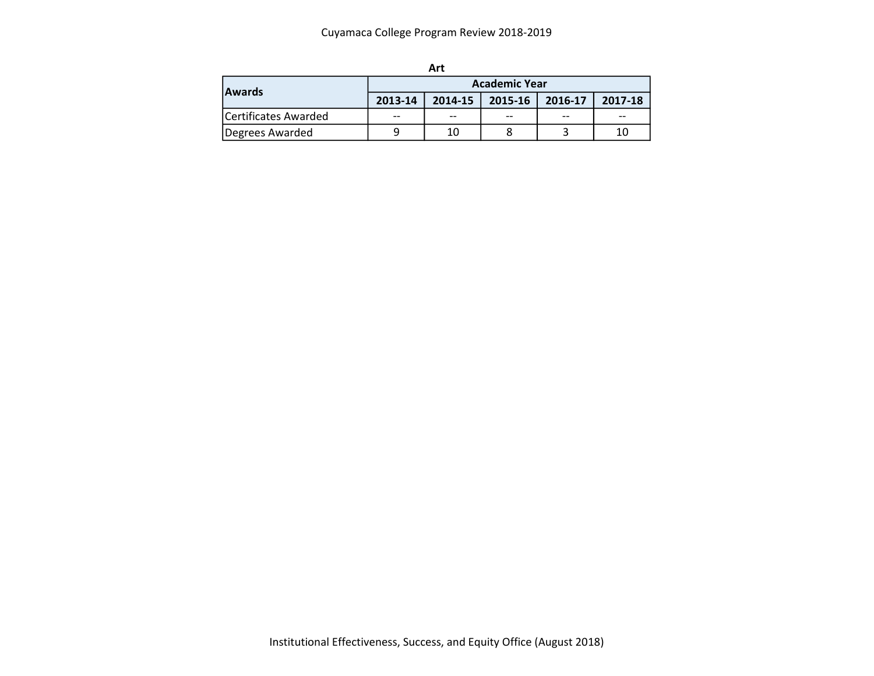| <b>Awards</b>        | <b>Academic Year</b> |             |             |         |         |  |  |  |  |
|----------------------|----------------------|-------------|-------------|---------|---------|--|--|--|--|
|                      | 2013-14              | $2014 - 15$ | $2015 - 16$ | 2016-17 | 2017-18 |  |  |  |  |
| Certificates Awarded | $- -$                | $- -$       | $- -$       | $- -$   | --      |  |  |  |  |
| Degrees Awarded      | Q                    | 10          |             |         | 10      |  |  |  |  |

| I<br>×<br>۰. |  |
|--------------|--|
|--------------|--|